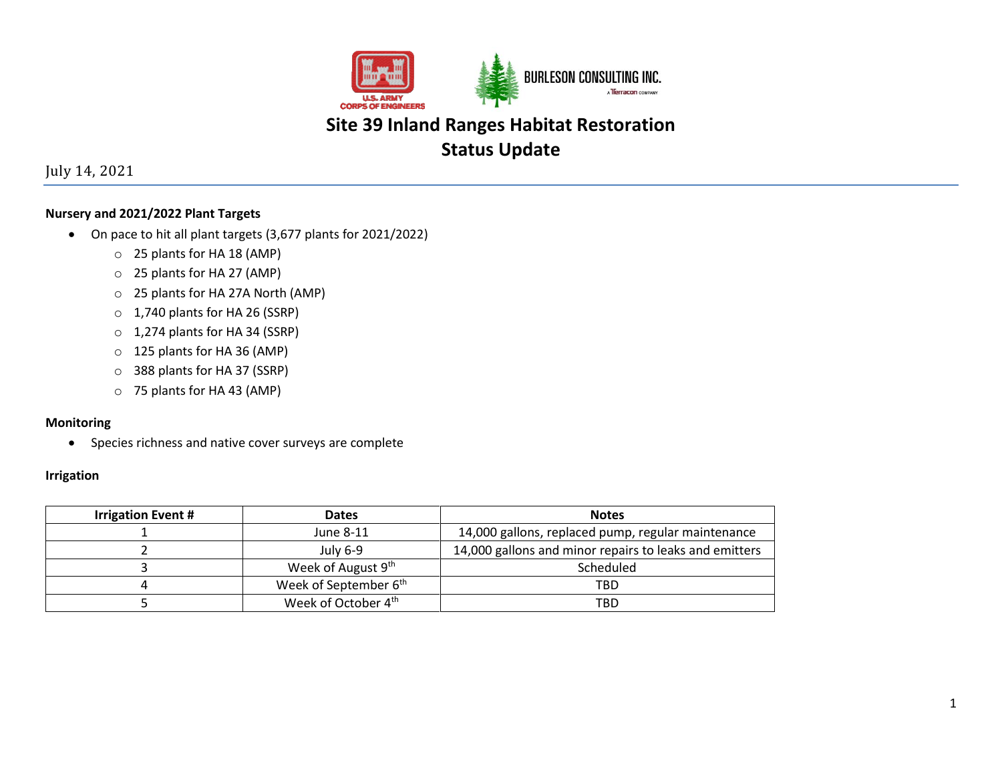

# **Status Update**

July 14, 2021

## **Nursery and 2021/2022 Plant Targets**

- On pace to hit all plant targets (3,677 plants for 2021/2022)
	- o 25 plants for HA 18 (AMP)
	- o 25 plants for HA 27 (AMP)
	- o 25 plants for HA 27A North (AMP)
	- o 1,740 plants for HA 26 (SSRP)
	- o 1,274 plants for HA 34 (SSRP)
	- o 125 plants for HA 36 (AMP)
	- o 388 plants for HA 37 (SSRP)
	- o 75 plants for HA 43 (AMP)

### **Monitoring**

• Species richness and native cover surveys are complete

#### **Irrigation**

| <b>Irrigation Event #</b> | <b>Dates</b>                      | <b>Notes</b>                                           |  |
|---------------------------|-----------------------------------|--------------------------------------------------------|--|
|                           | June 8-11                         | 14,000 gallons, replaced pump, regular maintenance     |  |
|                           | July 6-9                          | 14,000 gallons and minor repairs to leaks and emitters |  |
|                           | Week of August 9 <sup>th</sup>    | Scheduled                                              |  |
|                           | Week of September 6 <sup>th</sup> | TBD                                                    |  |
|                           | Week of October 4 <sup>th</sup>   | TBD                                                    |  |